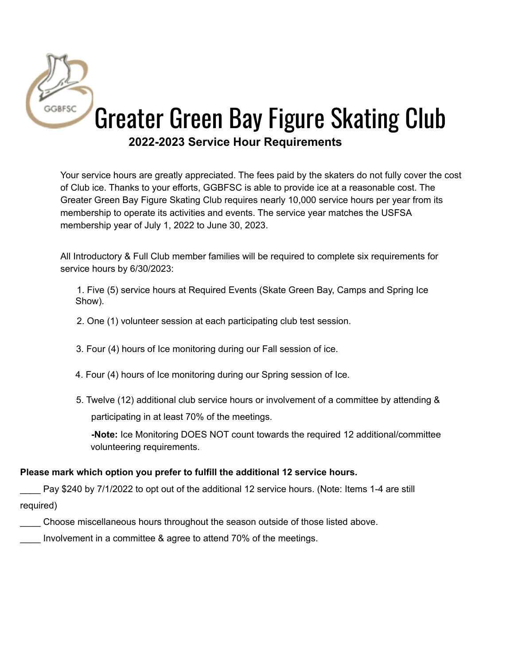

Your service hours are greatly appreciated. The fees paid by the skaters do not fully cover the cost of Club ice. Thanks to your efforts, GGBFSC is able to provide ice at a reasonable cost. The Greater Green Bay Figure Skating Club requires nearly 10,000 service hours per year from its membership to operate its activities and events. The service year matches the USFSA membership year of July 1, 2022 to June 30, 2023.

All Introductory & Full Club member families will be required to complete six requirements for service hours by 6/30/2023:

1. Five (5) service hours at Required Events (Skate Green Bay, Camps and Spring Ice Show).

2. One (1) volunteer session at each participating club test session.

3. Four (4) hours of Ice monitoring during our Fall session of ice.

- 4. Four (4) hours of Ice monitoring during our Spring session of Ice.
- 5. Twelve (12) additional club service hours or involvement of a committee by attending & participating in at least 70% of the meetings.

**-Note:** Ice Monitoring DOES NOT count towards the required 12 additional/committee volunteering requirements.

## **Please mark which option you prefer to fulfill the additional 12 service hours.**

Pay \$240 by 7/1/2022 to opt out of the additional 12 service hours. (Note: Items 1-4 are still required)

- \_\_\_\_ Choose miscellaneous hours throughout the season outside of those listed above.
- Involvement in a committee & agree to attend 70% of the meetings.